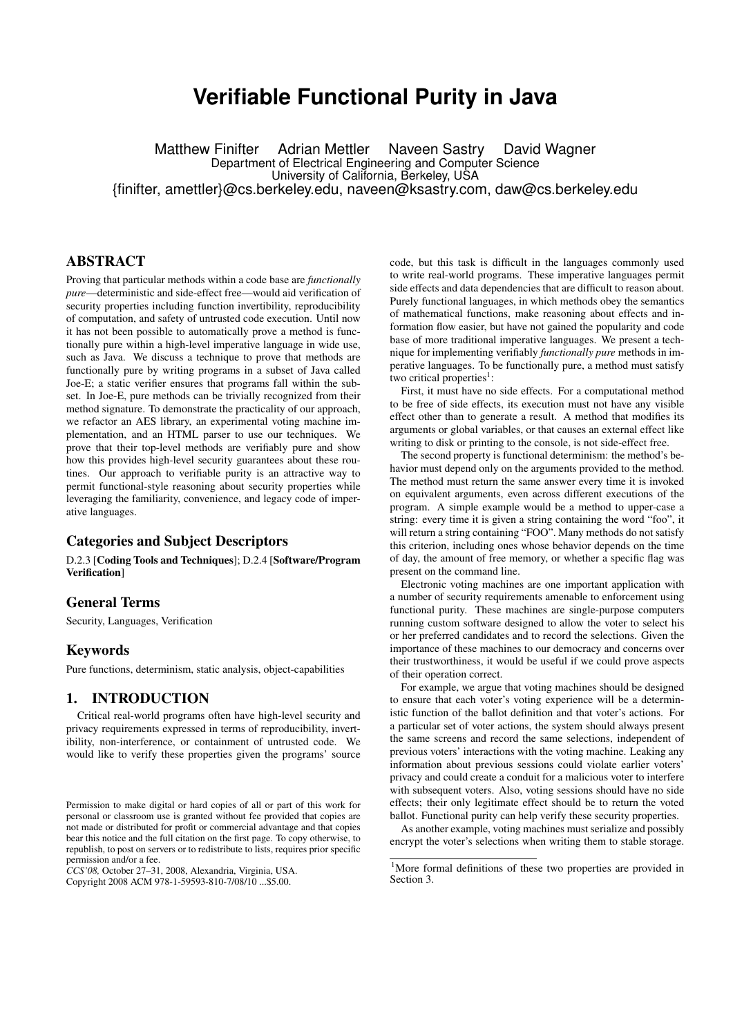# **Verifiable Functional Purity in Java**

Matthew Finifter Adrian Mettler Naveen Sastry David Wagner Department of Electrical Engineering and Computer Science University of California, Berkeley, USA {finifter, amettler}@cs.berkeley.edu, naveen@ksastry.com, daw@cs.berkeley.edu

# ABSTRACT

Proving that particular methods within a code base are *functionally pure*—deterministic and side-effect free—would aid verification of security properties including function invertibility, reproducibility of computation, and safety of untrusted code execution. Until now it has not been possible to automatically prove a method is functionally pure within a high-level imperative language in wide use, such as Java. We discuss a technique to prove that methods are functionally pure by writing programs in a subset of Java called Joe-E; a static verifier ensures that programs fall within the subset. In Joe-E, pure methods can be trivially recognized from their method signature. To demonstrate the practicality of our approach, we refactor an AES library, an experimental voting machine implementation, and an HTML parser to use our techniques. We prove that their top-level methods are verifiably pure and show how this provides high-level security guarantees about these routines. Our approach to verifiable purity is an attractive way to permit functional-style reasoning about security properties while leveraging the familiarity, convenience, and legacy code of imperative languages.

## Categories and Subject Descriptors

D.2.3 [Coding Tools and Techniques]; D.2.4 [Software/Program Verification]

## General Terms

Security, Languages, Verification

### Keywords

Pure functions, determinism, static analysis, object-capabilities

# 1. INTRODUCTION

Critical real-world programs often have high-level security and privacy requirements expressed in terms of reproducibility, invertibility, non-interference, or containment of untrusted code. We would like to verify these properties given the programs' source

*CCS'08,* October 27–31, 2008, Alexandria, Virginia, USA.

Copyright 2008 ACM 978-1-59593-810-7/08/10 ...\$5.00.

code, but this task is difficult in the languages commonly used to write real-world programs. These imperative languages permit side effects and data dependencies that are difficult to reason about. Purely functional languages, in which methods obey the semantics of mathematical functions, make reasoning about effects and information flow easier, but have not gained the popularity and code base of more traditional imperative languages. We present a technique for implementing verifiably *functionally pure* methods in imperative languages. To be functionally pure, a method must satisfy two critical properties<sup>1</sup>:

First, it must have no side effects. For a computational method to be free of side effects, its execution must not have any visible effect other than to generate a result. A method that modifies its arguments or global variables, or that causes an external effect like writing to disk or printing to the console, is not side-effect free.

The second property is functional determinism: the method's behavior must depend only on the arguments provided to the method. The method must return the same answer every time it is invoked on equivalent arguments, even across different executions of the program. A simple example would be a method to upper-case a string: every time it is given a string containing the word "foo", it will return a string containing "FOO". Many methods do not satisfy this criterion, including ones whose behavior depends on the time of day, the amount of free memory, or whether a specific flag was present on the command line.

Electronic voting machines are one important application with a number of security requirements amenable to enforcement using functional purity. These machines are single-purpose computers running custom software designed to allow the voter to select his or her preferred candidates and to record the selections. Given the importance of these machines to our democracy and concerns over their trustworthiness, it would be useful if we could prove aspects of their operation correct.

For example, we argue that voting machines should be designed to ensure that each voter's voting experience will be a deterministic function of the ballot definition and that voter's actions. For a particular set of voter actions, the system should always present the same screens and record the same selections, independent of previous voters' interactions with the voting machine. Leaking any information about previous sessions could violate earlier voters' privacy and could create a conduit for a malicious voter to interfere with subsequent voters. Also, voting sessions should have no side effects; their only legitimate effect should be to return the voted ballot. Functional purity can help verify these security properties.

As another example, voting machines must serialize and possibly encrypt the voter's selections when writing them to stable storage.

Permission to make digital or hard copies of all or part of this work for personal or classroom use is granted without fee provided that copies are not made or distributed for profit or commercial advantage and that copies bear this notice and the full citation on the first page. To copy otherwise, to republish, to post on servers or to redistribute to lists, requires prior specific permission and/or a fee.

<sup>&</sup>lt;sup>1</sup>More formal definitions of these two properties are provided in Section 3.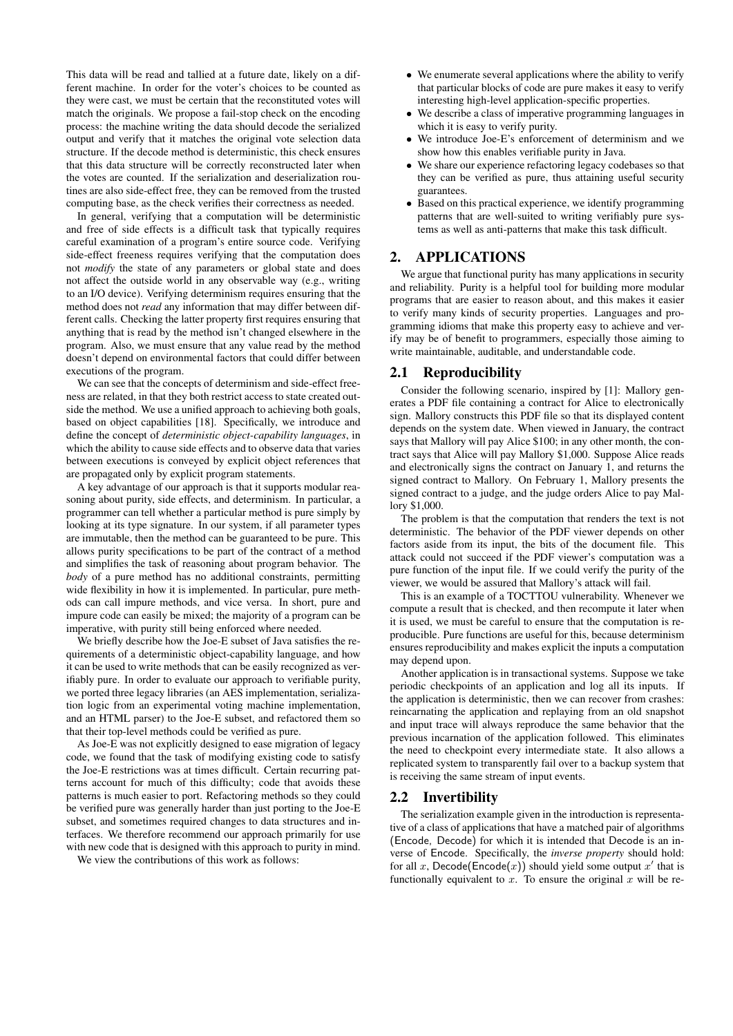This data will be read and tallied at a future date, likely on a different machine. In order for the voter's choices to be counted as they were cast, we must be certain that the reconstituted votes will match the originals. We propose a fail-stop check on the encoding process: the machine writing the data should decode the serialized output and verify that it matches the original vote selection data structure. If the decode method is deterministic, this check ensures that this data structure will be correctly reconstructed later when the votes are counted. If the serialization and deserialization routines are also side-effect free, they can be removed from the trusted computing base, as the check verifies their correctness as needed.

In general, verifying that a computation will be deterministic and free of side effects is a difficult task that typically requires careful examination of a program's entire source code. Verifying side-effect freeness requires verifying that the computation does not *modify* the state of any parameters or global state and does not affect the outside world in any observable way (e.g., writing to an I/O device). Verifying determinism requires ensuring that the method does not *read* any information that may differ between different calls. Checking the latter property first requires ensuring that anything that is read by the method isn't changed elsewhere in the program. Also, we must ensure that any value read by the method doesn't depend on environmental factors that could differ between executions of the program.

We can see that the concepts of determinism and side-effect freeness are related, in that they both restrict access to state created outside the method. We use a unified approach to achieving both goals, based on object capabilities [18]. Specifically, we introduce and define the concept of *deterministic object-capability languages*, in which the ability to cause side effects and to observe data that varies between executions is conveyed by explicit object references that are propagated only by explicit program statements.

A key advantage of our approach is that it supports modular reasoning about purity, side effects, and determinism. In particular, a programmer can tell whether a particular method is pure simply by looking at its type signature. In our system, if all parameter types are immutable, then the method can be guaranteed to be pure. This allows purity specifications to be part of the contract of a method and simplifies the task of reasoning about program behavior. The *body* of a pure method has no additional constraints, permitting wide flexibility in how it is implemented. In particular, pure methods can call impure methods, and vice versa. In short, pure and impure code can easily be mixed; the majority of a program can be imperative, with purity still being enforced where needed.

We briefly describe how the Joe-E subset of Java satisfies the requirements of a deterministic object-capability language, and how it can be used to write methods that can be easily recognized as verifiably pure. In order to evaluate our approach to verifiable purity, we ported three legacy libraries (an AES implementation, serialization logic from an experimental voting machine implementation, and an HTML parser) to the Joe-E subset, and refactored them so that their top-level methods could be verified as pure.

As Joe-E was not explicitly designed to ease migration of legacy code, we found that the task of modifying existing code to satisfy the Joe-E restrictions was at times difficult. Certain recurring patterns account for much of this difficulty; code that avoids these patterns is much easier to port. Refactoring methods so they could be verified pure was generally harder than just porting to the Joe-E subset, and sometimes required changes to data structures and interfaces. We therefore recommend our approach primarily for use with new code that is designed with this approach to purity in mind.

We view the contributions of this work as follows:

- We enumerate several applications where the ability to verify that particular blocks of code are pure makes it easy to verify interesting high-level application-specific properties.
- We describe a class of imperative programming languages in which it is easy to verify purity.
- We introduce Joe-E's enforcement of determinism and we show how this enables verifiable purity in Java.
- We share our experience refactoring legacy codebases so that they can be verified as pure, thus attaining useful security guarantees.
- Based on this practical experience, we identify programming patterns that are well-suited to writing verifiably pure systems as well as anti-patterns that make this task difficult.

## 2. APPLICATIONS

We argue that functional purity has many applications in security and reliability. Purity is a helpful tool for building more modular programs that are easier to reason about, and this makes it easier to verify many kinds of security properties. Languages and programming idioms that make this property easy to achieve and verify may be of benefit to programmers, especially those aiming to write maintainable, auditable, and understandable code.

## 2.1 Reproducibility

Consider the following scenario, inspired by [1]: Mallory generates a PDF file containing a contract for Alice to electronically sign. Mallory constructs this PDF file so that its displayed content depends on the system date. When viewed in January, the contract says that Mallory will pay Alice \$100; in any other month, the contract says that Alice will pay Mallory \$1,000. Suppose Alice reads and electronically signs the contract on January 1, and returns the signed contract to Mallory. On February 1, Mallory presents the signed contract to a judge, and the judge orders Alice to pay Mallory \$1,000.

The problem is that the computation that renders the text is not deterministic. The behavior of the PDF viewer depends on other factors aside from its input, the bits of the document file. This attack could not succeed if the PDF viewer's computation was a pure function of the input file. If we could verify the purity of the viewer, we would be assured that Mallory's attack will fail.

This is an example of a TOCTTOU vulnerability. Whenever we compute a result that is checked, and then recompute it later when it is used, we must be careful to ensure that the computation is reproducible. Pure functions are useful for this, because determinism ensures reproducibility and makes explicit the inputs a computation may depend upon.

Another application is in transactional systems. Suppose we take periodic checkpoints of an application and log all its inputs. If the application is deterministic, then we can recover from crashes: reincarnating the application and replaying from an old snapshot and input trace will always reproduce the same behavior that the previous incarnation of the application followed. This eliminates the need to checkpoint every intermediate state. It also allows a replicated system to transparently fail over to a backup system that is receiving the same stream of input events.

#### 2.2 Invertibility

The serialization example given in the introduction is representative of a class of applications that have a matched pair of algorithms (Encode, Decode) for which it is intended that Decode is an inverse of Encode. Specifically, the *inverse property* should hold: for all x, Decode(Encode(x)) should yield some output x' that is functionally equivalent to  $x$ . To ensure the original  $x$  will be re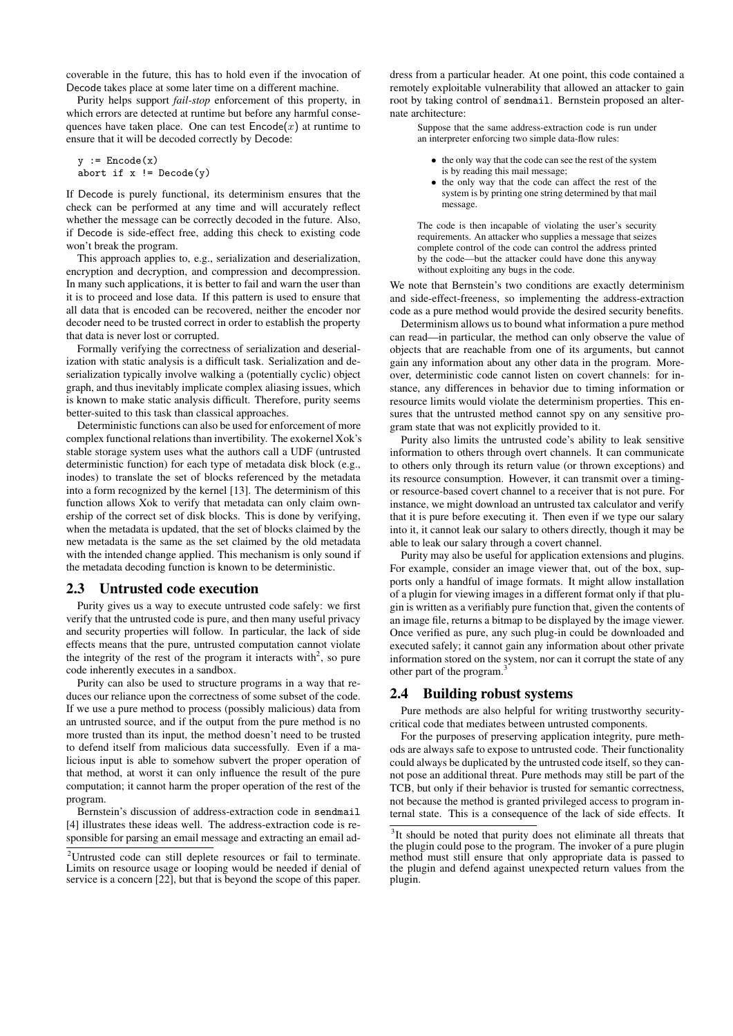coverable in the future, this has to hold even if the invocation of Decode takes place at some later time on a different machine.

Purity helps support *fail-stop* enforcement of this property, in which errors are detected at runtime but before any harmful consequences have taken place. One can test  $\textsf{Encode}(x)$  at runtime to ensure that it will be decoded correctly by Decode:

 $y :=$  Encode $(x)$ abort if  $x$  != Decode(y)

If Decode is purely functional, its determinism ensures that the check can be performed at any time and will accurately reflect whether the message can be correctly decoded in the future. Also, if Decode is side-effect free, adding this check to existing code won't break the program.

This approach applies to, e.g., serialization and deserialization, encryption and decryption, and compression and decompression. In many such applications, it is better to fail and warn the user than it is to proceed and lose data. If this pattern is used to ensure that all data that is encoded can be recovered, neither the encoder nor decoder need to be trusted correct in order to establish the property that data is never lost or corrupted.

Formally verifying the correctness of serialization and deserialization with static analysis is a difficult task. Serialization and deserialization typically involve walking a (potentially cyclic) object graph, and thus inevitably implicate complex aliasing issues, which is known to make static analysis difficult. Therefore, purity seems better-suited to this task than classical approaches.

Deterministic functions can also be used for enforcement of more complex functional relations than invertibility. The exokernel Xok's stable storage system uses what the authors call a UDF (untrusted deterministic function) for each type of metadata disk block (e.g., inodes) to translate the set of blocks referenced by the metadata into a form recognized by the kernel [13]. The determinism of this function allows Xok to verify that metadata can only claim ownership of the correct set of disk blocks. This is done by verifying, when the metadata is updated, that the set of blocks claimed by the new metadata is the same as the set claimed by the old metadata with the intended change applied. This mechanism is only sound if the metadata decoding function is known to be deterministic.

#### 2.3 Untrusted code execution

Purity gives us a way to execute untrusted code safely: we first verify that the untrusted code is pure, and then many useful privacy and security properties will follow. In particular, the lack of side effects means that the pure, untrusted computation cannot violate the integrity of the rest of the program it interacts with<sup>2</sup>, so pure code inherently executes in a sandbox.

Purity can also be used to structure programs in a way that reduces our reliance upon the correctness of some subset of the code. If we use a pure method to process (possibly malicious) data from an untrusted source, and if the output from the pure method is no more trusted than its input, the method doesn't need to be trusted to defend itself from malicious data successfully. Even if a malicious input is able to somehow subvert the proper operation of that method, at worst it can only influence the result of the pure computation; it cannot harm the proper operation of the rest of the program.

Bernstein's discussion of address-extraction code in sendmail [4] illustrates these ideas well. The address-extraction code is responsible for parsing an email message and extracting an email address from a particular header. At one point, this code contained a remotely exploitable vulnerability that allowed an attacker to gain root by taking control of sendmail. Bernstein proposed an alternate architecture:

Suppose that the same address-extraction code is run under an interpreter enforcing two simple data-flow rules:

- the only way that the code can see the rest of the system is by reading this mail message;
- the only way that the code can affect the rest of the system is by printing one string determined by that mail message.

The code is then incapable of violating the user's security requirements. An attacker who supplies a message that seizes complete control of the code can control the address printed by the code—but the attacker could have done this anyway without exploiting any bugs in the code.

We note that Bernstein's two conditions are exactly determinism and side-effect-freeness, so implementing the address-extraction code as a pure method would provide the desired security benefits.

Determinism allows us to bound what information a pure method can read—in particular, the method can only observe the value of objects that are reachable from one of its arguments, but cannot gain any information about any other data in the program. Moreover, deterministic code cannot listen on covert channels: for instance, any differences in behavior due to timing information or resource limits would violate the determinism properties. This ensures that the untrusted method cannot spy on any sensitive program state that was not explicitly provided to it.

Purity also limits the untrusted code's ability to leak sensitive information to others through overt channels. It can communicate to others only through its return value (or thrown exceptions) and its resource consumption. However, it can transmit over a timingor resource-based covert channel to a receiver that is not pure. For instance, we might download an untrusted tax calculator and verify that it is pure before executing it. Then even if we type our salary into it, it cannot leak our salary to others directly, though it may be able to leak our salary through a covert channel.

Purity may also be useful for application extensions and plugins. For example, consider an image viewer that, out of the box, supports only a handful of image formats. It might allow installation of a plugin for viewing images in a different format only if that plugin is written as a verifiably pure function that, given the contents of an image file, returns a bitmap to be displayed by the image viewer. Once verified as pure, any such plug-in could be downloaded and executed safely; it cannot gain any information about other private information stored on the system, nor can it corrupt the state of any other part of the program.<sup>3</sup>

## 2.4 Building robust systems

Pure methods are also helpful for writing trustworthy securitycritical code that mediates between untrusted components.

For the purposes of preserving application integrity, pure methods are always safe to expose to untrusted code. Their functionality could always be duplicated by the untrusted code itself, so they cannot pose an additional threat. Pure methods may still be part of the TCB, but only if their behavior is trusted for semantic correctness, not because the method is granted privileged access to program internal state. This is a consequence of the lack of side effects. It

<sup>2</sup>Untrusted code can still deplete resources or fail to terminate. Limits on resource usage or looping would be needed if denial of service is a concern [22], but that is beyond the scope of this paper.

<sup>&</sup>lt;sup>3</sup>It should be noted that purity does not eliminate all threats that the plugin could pose to the program. The invoker of a pure plugin method must still ensure that only appropriate data is passed to the plugin and defend against unexpected return values from the plugin.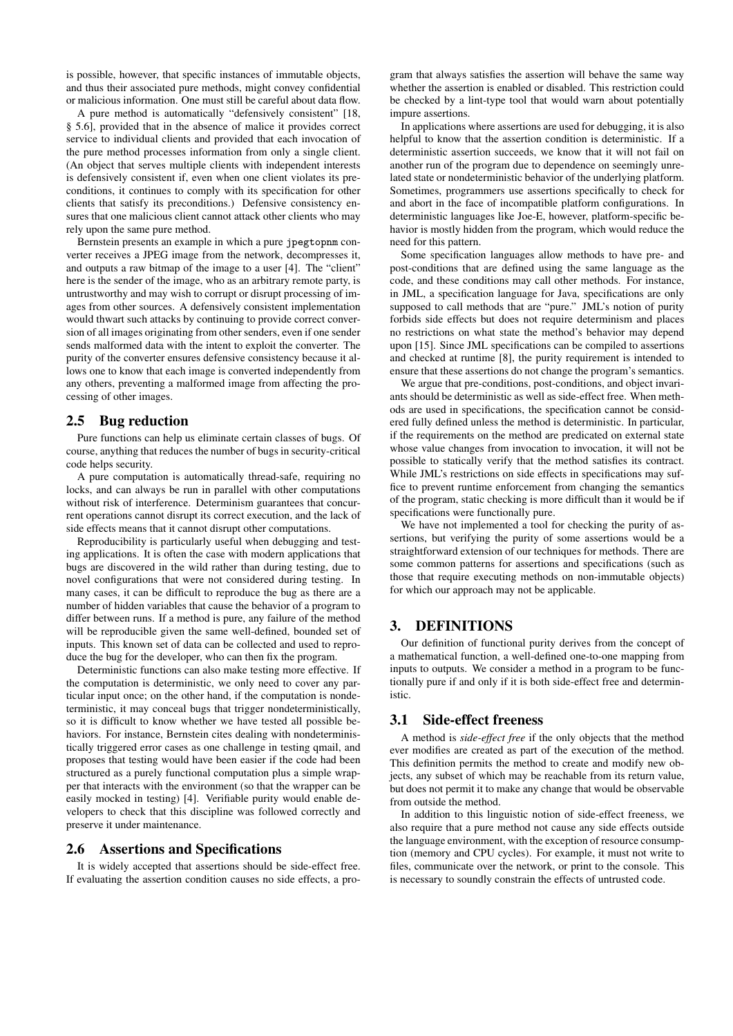is possible, however, that specific instances of immutable objects, and thus their associated pure methods, might convey confidential or malicious information. One must still be careful about data flow.

A pure method is automatically "defensively consistent" [18, § 5.6], provided that in the absence of malice it provides correct service to individual clients and provided that each invocation of the pure method processes information from only a single client. (An object that serves multiple clients with independent interests is defensively consistent if, even when one client violates its preconditions, it continues to comply with its specification for other clients that satisfy its preconditions.) Defensive consistency ensures that one malicious client cannot attack other clients who may rely upon the same pure method.

Bernstein presents an example in which a pure jpegtopnm converter receives a JPEG image from the network, decompresses it, and outputs a raw bitmap of the image to a user [4]. The "client" here is the sender of the image, who as an arbitrary remote party, is untrustworthy and may wish to corrupt or disrupt processing of images from other sources. A defensively consistent implementation would thwart such attacks by continuing to provide correct conversion of all images originating from other senders, even if one sender sends malformed data with the intent to exploit the converter. The purity of the converter ensures defensive consistency because it allows one to know that each image is converted independently from any others, preventing a malformed image from affecting the processing of other images.

#### 2.5 Bug reduction

Pure functions can help us eliminate certain classes of bugs. Of course, anything that reduces the number of bugs in security-critical code helps security.

A pure computation is automatically thread-safe, requiring no locks, and can always be run in parallel with other computations without risk of interference. Determinism guarantees that concurrent operations cannot disrupt its correct execution, and the lack of side effects means that it cannot disrupt other computations.

Reproducibility is particularly useful when debugging and testing applications. It is often the case with modern applications that bugs are discovered in the wild rather than during testing, due to novel configurations that were not considered during testing. In many cases, it can be difficult to reproduce the bug as there are a number of hidden variables that cause the behavior of a program to differ between runs. If a method is pure, any failure of the method will be reproducible given the same well-defined, bounded set of inputs. This known set of data can be collected and used to reproduce the bug for the developer, who can then fix the program.

Deterministic functions can also make testing more effective. If the computation is deterministic, we only need to cover any particular input once; on the other hand, if the computation is nondeterministic, it may conceal bugs that trigger nondeterministically, so it is difficult to know whether we have tested all possible behaviors. For instance, Bernstein cites dealing with nondeterministically triggered error cases as one challenge in testing qmail, and proposes that testing would have been easier if the code had been structured as a purely functional computation plus a simple wrapper that interacts with the environment (so that the wrapper can be easily mocked in testing) [4]. Verifiable purity would enable developers to check that this discipline was followed correctly and preserve it under maintenance.

#### 2.6 Assertions and Specifications

It is widely accepted that assertions should be side-effect free. If evaluating the assertion condition causes no side effects, a pro-

gram that always satisfies the assertion will behave the same way whether the assertion is enabled or disabled. This restriction could be checked by a lint-type tool that would warn about potentially impure assertions.

In applications where assertions are used for debugging, it is also helpful to know that the assertion condition is deterministic. If a deterministic assertion succeeds, we know that it will not fail on another run of the program due to dependence on seemingly unrelated state or nondeterministic behavior of the underlying platform. Sometimes, programmers use assertions specifically to check for and abort in the face of incompatible platform configurations. In deterministic languages like Joe-E, however, platform-specific behavior is mostly hidden from the program, which would reduce the need for this pattern.

Some specification languages allow methods to have pre- and post-conditions that are defined using the same language as the code, and these conditions may call other methods. For instance, in JML, a specification language for Java, specifications are only supposed to call methods that are "pure." JML's notion of purity forbids side effects but does not require determinism and places no restrictions on what state the method's behavior may depend upon [15]. Since JML specifications can be compiled to assertions and checked at runtime [8], the purity requirement is intended to ensure that these assertions do not change the program's semantics.

We argue that pre-conditions, post-conditions, and object invariants should be deterministic as well as side-effect free. When methods are used in specifications, the specification cannot be considered fully defined unless the method is deterministic. In particular, if the requirements on the method are predicated on external state whose value changes from invocation to invocation, it will not be possible to statically verify that the method satisfies its contract. While JML's restrictions on side effects in specifications may suffice to prevent runtime enforcement from changing the semantics of the program, static checking is more difficult than it would be if specifications were functionally pure.

We have not implemented a tool for checking the purity of assertions, but verifying the purity of some assertions would be a straightforward extension of our techniques for methods. There are some common patterns for assertions and specifications (such as those that require executing methods on non-immutable objects) for which our approach may not be applicable.

# 3. DEFINITIONS

Our definition of functional purity derives from the concept of a mathematical function, a well-defined one-to-one mapping from inputs to outputs. We consider a method in a program to be functionally pure if and only if it is both side-effect free and deterministic.

## 3.1 Side-effect freeness

A method is *side-effect free* if the only objects that the method ever modifies are created as part of the execution of the method. This definition permits the method to create and modify new objects, any subset of which may be reachable from its return value, but does not permit it to make any change that would be observable from outside the method.

In addition to this linguistic notion of side-effect freeness, we also require that a pure method not cause any side effects outside the language environment, with the exception of resource consumption (memory and CPU cycles). For example, it must not write to files, communicate over the network, or print to the console. This is necessary to soundly constrain the effects of untrusted code.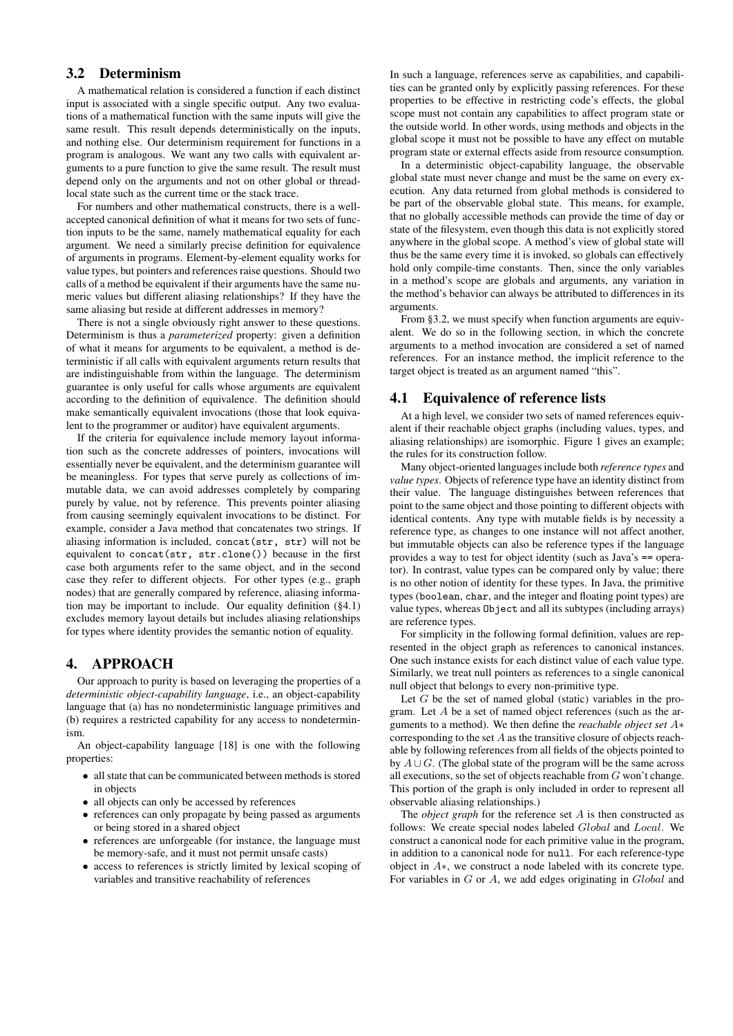# 3.2 Determinism

A mathematical relation is considered a function if each distinct input is associated with a single specific output. Any two evaluations of a mathematical function with the same inputs will give the same result. This result depends deterministically on the inputs, and nothing else. Our determinism requirement for functions in a program is analogous. We want any two calls with equivalent arguments to a pure function to give the same result. The result must depend only on the arguments and not on other global or threadlocal state such as the current time or the stack trace.

For numbers and other mathematical constructs, there is a wellaccepted canonical definition of what it means for two sets of function inputs to be the same, namely mathematical equality for each argument. We need a similarly precise definition for equivalence of arguments in programs. Element-by-element equality works for value types, but pointers and references raise questions. Should two calls of a method be equivalent if their arguments have the same numeric values but different aliasing relationships? If they have the same aliasing but reside at different addresses in memory?

There is not a single obviously right answer to these questions. Determinism is thus a *parameterized* property: given a definition of what it means for arguments to be equivalent, a method is deterministic if all calls with equivalent arguments return results that are indistinguishable from within the language. The determinism guarantee is only useful for calls whose arguments are equivalent according to the definition of equivalence. The definition should make semantically equivalent invocations (those that look equivalent to the programmer or auditor) have equivalent arguments.

If the criteria for equivalence include memory layout information such as the concrete addresses of pointers, invocations will essentially never be equivalent, and the determinism guarantee will be meaningless. For types that serve purely as collections of immutable data, we can avoid addresses completely by comparing purely by value, not by reference. This prevents pointer aliasing from causing seemingly equivalent invocations to be distinct. For example, consider a Java method that concatenates two strings. If aliasing information is included, concat(str, str) will not be equivalent to concat(str, str.clone()) because in the first case both arguments refer to the same object, and in the second case they refer to different objects. For other types (e.g., graph nodes) that are generally compared by reference, aliasing information may be important to include. Our equality definition (§4.1) excludes memory layout details but includes aliasing relationships for types where identity provides the semantic notion of equality.

## 4. APPROACH

Our approach to purity is based on leveraging the properties of a *deterministic object-capability language*, i.e., an object-capability language that (a) has no nondeterministic language primitives and (b) requires a restricted capability for any access to nondeterminism.

An object-capability language [18] is one with the following properties:

- all state that can be communicated between methods is stored in objects
- all objects can only be accessed by references
- references can only propagate by being passed as arguments or being stored in a shared object
- references are unforgeable (for instance, the language must be memory-safe, and it must not permit unsafe casts)
- access to references is strictly limited by lexical scoping of variables and transitive reachability of references

In such a language, references serve as capabilities, and capabilities can be granted only by explicitly passing references. For these properties to be effective in restricting code's effects, the global scope must not contain any capabilities to affect program state or the outside world. In other words, using methods and objects in the global scope it must not be possible to have any effect on mutable program state or external effects aside from resource consumption.

In a deterministic object-capability language, the observable global state must never change and must be the same on every execution. Any data returned from global methods is considered to be part of the observable global state. This means, for example, that no globally accessible methods can provide the time of day or state of the filesystem, even though this data is not explicitly stored anywhere in the global scope. A method's view of global state will thus be the same every time it is invoked, so globals can effectively hold only compile-time constants. Then, since the only variables in a method's scope are globals and arguments, any variation in the method's behavior can always be attributed to differences in its arguments.

From §3.2, we must specify when function arguments are equivalent. We do so in the following section, in which the concrete arguments to a method invocation are considered a set of named references. For an instance method, the implicit reference to the target object is treated as an argument named "this".

## 4.1 Equivalence of reference lists

At a high level, we consider two sets of named references equivalent if their reachable object graphs (including values, types, and aliasing relationships) are isomorphic. Figure 1 gives an example; the rules for its construction follow.

Many object-oriented languages include both *reference types* and *value types*. Objects of reference type have an identity distinct from their value. The language distinguishes between references that point to the same object and those pointing to different objects with identical contents. Any type with mutable fields is by necessity a reference type, as changes to one instance will not affect another, but immutable objects can also be reference types if the language provides a way to test for object identity (such as Java's == operator). In contrast, value types can be compared only by value; there is no other notion of identity for these types. In Java, the primitive types (boolean, char, and the integer and floating point types) are value types, whereas Object and all its subtypes (including arrays) are reference types.

For simplicity in the following formal definition, values are represented in the object graph as references to canonical instances. One such instance exists for each distinct value of each value type. Similarly, we treat null pointers as references to a single canonical null object that belongs to every non-primitive type.

Let  $G$  be the set of named global (static) variables in the program. Let A be a set of named object references (such as the arguments to a method). We then define the *reachable object set* A∗ corresponding to the set  $A$  as the transitive closure of objects reachable by following references from all fields of the objects pointed to by  $A \cup G$ . (The global state of the program will be the same across all executions, so the set of objects reachable from G won't change. This portion of the graph is only included in order to represent all observable aliasing relationships.)

The *object graph* for the reference set A is then constructed as follows: We create special nodes labeled Global and Local. We construct a canonical node for each primitive value in the program, in addition to a canonical node for null. For each reference-type object in A∗, we construct a node labeled with its concrete type. For variables in G or A, we add edges originating in Global and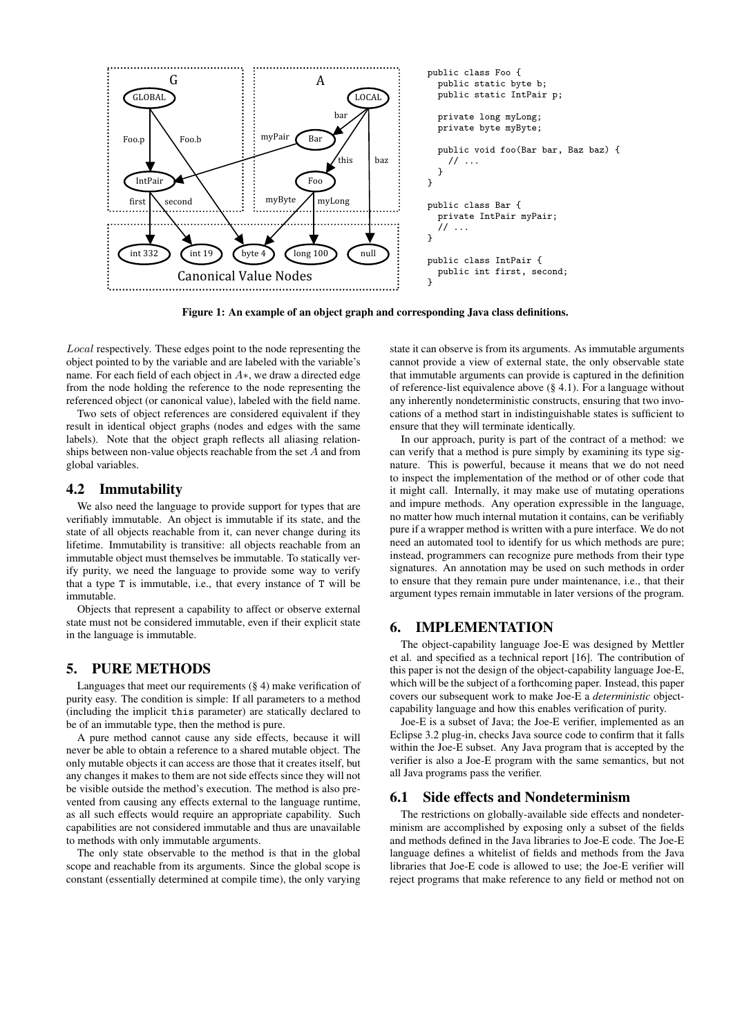

Figure 1: An example of an object graph and corresponding Java class definitions.

Local respectively. These edges point to the node representing the object pointed to by the variable and are labeled with the variable's name. For each field of each object in A∗, we draw a directed edge from the node holding the reference to the node representing the referenced object (or canonical value), labeled with the field name.

Two sets of object references are considered equivalent if they result in identical object graphs (nodes and edges with the same labels). Note that the object graph reflects all aliasing relationships between non-value objects reachable from the set A and from global variables.

## 4.2 Immutability

We also need the language to provide support for types that are verifiably immutable. An object is immutable if its state, and the state of all objects reachable from it, can never change during its lifetime. Immutability is transitive: all objects reachable from an immutable object must themselves be immutable. To statically verify purity, we need the language to provide some way to verify that a type T is immutable, i.e., that every instance of T will be immutable.

Objects that represent a capability to affect or observe external state must not be considered immutable, even if their explicit state in the language is immutable.

# 5. PURE METHODS

Languages that meet our requirements (§ 4) make verification of purity easy. The condition is simple: If all parameters to a method (including the implicit this parameter) are statically declared to be of an immutable type, then the method is pure.

A pure method cannot cause any side effects, because it will never be able to obtain a reference to a shared mutable object. The only mutable objects it can access are those that it creates itself, but any changes it makes to them are not side effects since they will not be visible outside the method's execution. The method is also prevented from causing any effects external to the language runtime, as all such effects would require an appropriate capability. Such capabilities are not considered immutable and thus are unavailable to methods with only immutable arguments.

The only state observable to the method is that in the global scope and reachable from its arguments. Since the global scope is constant (essentially determined at compile time), the only varying

state it can observe is from its arguments. As immutable arguments cannot provide a view of external state, the only observable state that immutable arguments can provide is captured in the definition of reference-list equivalence above (§ 4.1). For a language without any inherently nondeterministic constructs, ensuring that two invocations of a method start in indistinguishable states is sufficient to ensure that they will terminate identically.

In our approach, purity is part of the contract of a method: we can verify that a method is pure simply by examining its type signature. This is powerful, because it means that we do not need to inspect the implementation of the method or of other code that it might call. Internally, it may make use of mutating operations and impure methods. Any operation expressible in the language, no matter how much internal mutation it contains, can be verifiably pure if a wrapper method is written with a pure interface. We do not need an automated tool to identify for us which methods are pure; instead, programmers can recognize pure methods from their type signatures. An annotation may be used on such methods in order to ensure that they remain pure under maintenance, i.e., that their argument types remain immutable in later versions of the program.

## 6. IMPLEMENTATION

The object-capability language Joe-E was designed by Mettler et al. and specified as a technical report [16]. The contribution of this paper is not the design of the object-capability language Joe-E, which will be the subject of a forthcoming paper. Instead, this paper covers our subsequent work to make Joe-E a *deterministic* objectcapability language and how this enables verification of purity.

Joe-E is a subset of Java; the Joe-E verifier, implemented as an Eclipse 3.2 plug-in, checks Java source code to confirm that it falls within the Joe-E subset. Any Java program that is accepted by the verifier is also a Joe-E program with the same semantics, but not all Java programs pass the verifier.

#### 6.1 Side effects and Nondeterminism

The restrictions on globally-available side effects and nondeterminism are accomplished by exposing only a subset of the fields and methods defined in the Java libraries to Joe-E code. The Joe-E language defines a whitelist of fields and methods from the Java libraries that Joe-E code is allowed to use; the Joe-E verifier will reject programs that make reference to any field or method not on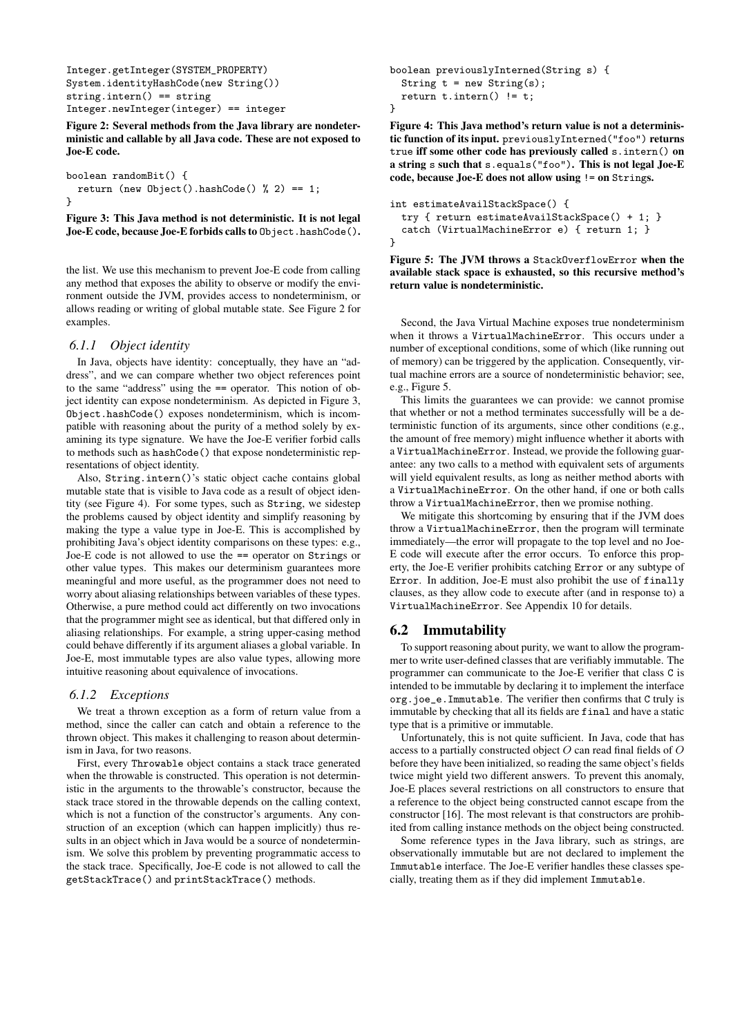```
Integer.getInteger(SYSTEM_PROPERTY)
System.identityHashCode(new String())
string.intern() == string
Integer.newInteger(integer) == integer
```
Figure 2: Several methods from the Java library are nondeterministic and callable by all Java code. These are not exposed to Joe-E code.

```
boolean randomBit() {
 return (new Object().hashCode() % 2) == 1;
}
```
Figure 3: This Java method is not deterministic. It is not legal Joe-E code, because Joe-E forbids calls to Object.hashCode().

the list. We use this mechanism to prevent Joe-E code from calling any method that exposes the ability to observe or modify the environment outside the JVM, provides access to nondeterminism, or allows reading or writing of global mutable state. See Figure 2 for examples.

#### *6.1.1 Object identity*

In Java, objects have identity: conceptually, they have an "address", and we can compare whether two object references point to the same "address" using the == operator. This notion of object identity can expose nondeterminism. As depicted in Figure 3, Object.hashCode() exposes nondeterminism, which is incompatible with reasoning about the purity of a method solely by examining its type signature. We have the Joe-E verifier forbid calls to methods such as hashCode() that expose nondeterministic representations of object identity.

Also, String.intern()'s static object cache contains global mutable state that is visible to Java code as a result of object identity (see Figure 4). For some types, such as String, we sidestep the problems caused by object identity and simplify reasoning by making the type a value type in Joe-E. This is accomplished by prohibiting Java's object identity comparisons on these types: e.g., Joe-E code is not allowed to use the == operator on Strings or other value types. This makes our determinism guarantees more meaningful and more useful, as the programmer does not need to worry about aliasing relationships between variables of these types. Otherwise, a pure method could act differently on two invocations that the programmer might see as identical, but that differed only in aliasing relationships. For example, a string upper-casing method could behave differently if its argument aliases a global variable. In Joe-E, most immutable types are also value types, allowing more intuitive reasoning about equivalence of invocations.

#### *6.1.2 Exceptions*

We treat a thrown exception as a form of return value from a method, since the caller can catch and obtain a reference to the thrown object. This makes it challenging to reason about determinism in Java, for two reasons.

First, every Throwable object contains a stack trace generated when the throwable is constructed. This operation is not deterministic in the arguments to the throwable's constructor, because the stack trace stored in the throwable depends on the calling context, which is not a function of the constructor's arguments. Any construction of an exception (which can happen implicitly) thus results in an object which in Java would be a source of nondeterminism. We solve this problem by preventing programmatic access to the stack trace. Specifically, Joe-E code is not allowed to call the getStackTrace() and printStackTrace() methods.

```
boolean previouslyInterned(String s) {
  String t = new String(s);
  return t.intern() != t;
}
```
Figure 4: This Java method's return value is not a deterministic function of its input. previouslyInterned("foo") returns true iff some other code has previously called s.intern() on a string s such that s.equals("foo"). This is not legal Joe-E code, because Joe-E does not allow using != on Strings.

```
int estimateAvailStackSpace() {
 try { return estimateAvailStackSpace() + 1; }
 catch (VirtualMachineError e) { return 1; }
}
```
Figure 5: The JVM throws a StackOverflowError when the available stack space is exhausted, so this recursive method's return value is nondeterministic.

Second, the Java Virtual Machine exposes true nondeterminism when it throws a VirtualMachineError. This occurs under a number of exceptional conditions, some of which (like running out of memory) can be triggered by the application. Consequently, virtual machine errors are a source of nondeterministic behavior; see, e.g., Figure 5.

This limits the guarantees we can provide: we cannot promise that whether or not a method terminates successfully will be a deterministic function of its arguments, since other conditions (e.g., the amount of free memory) might influence whether it aborts with a VirtualMachineError. Instead, we provide the following guarantee: any two calls to a method with equivalent sets of arguments will yield equivalent results, as long as neither method aborts with a VirtualMachineError. On the other hand, if one or both calls throw a VirtualMachineError, then we promise nothing.

We mitigate this shortcoming by ensuring that if the JVM does throw a VirtualMachineError, then the program will terminate immediately—the error will propagate to the top level and no Joe-E code will execute after the error occurs. To enforce this property, the Joe-E verifier prohibits catching Error or any subtype of Error. In addition, Joe-E must also prohibit the use of finally clauses, as they allow code to execute after (and in response to) a VirtualMachineError. See Appendix 10 for details.

#### 6.2 Immutability

To support reasoning about purity, we want to allow the programmer to write user-defined classes that are verifiably immutable. The programmer can communicate to the Joe-E verifier that class C is intended to be immutable by declaring it to implement the interface org.joe\_e.Immutable. The verifier then confirms that C truly is immutable by checking that all its fields are final and have a static type that is a primitive or immutable.

Unfortunately, this is not quite sufficient. In Java, code that has access to a partially constructed object O can read final fields of O before they have been initialized, so reading the same object's fields twice might yield two different answers. To prevent this anomaly, Joe-E places several restrictions on all constructors to ensure that a reference to the object being constructed cannot escape from the constructor [16]. The most relevant is that constructors are prohibited from calling instance methods on the object being constructed.

Some reference types in the Java library, such as strings, are observationally immutable but are not declared to implement the Immutable interface. The Joe-E verifier handles these classes specially, treating them as if they did implement Immutable.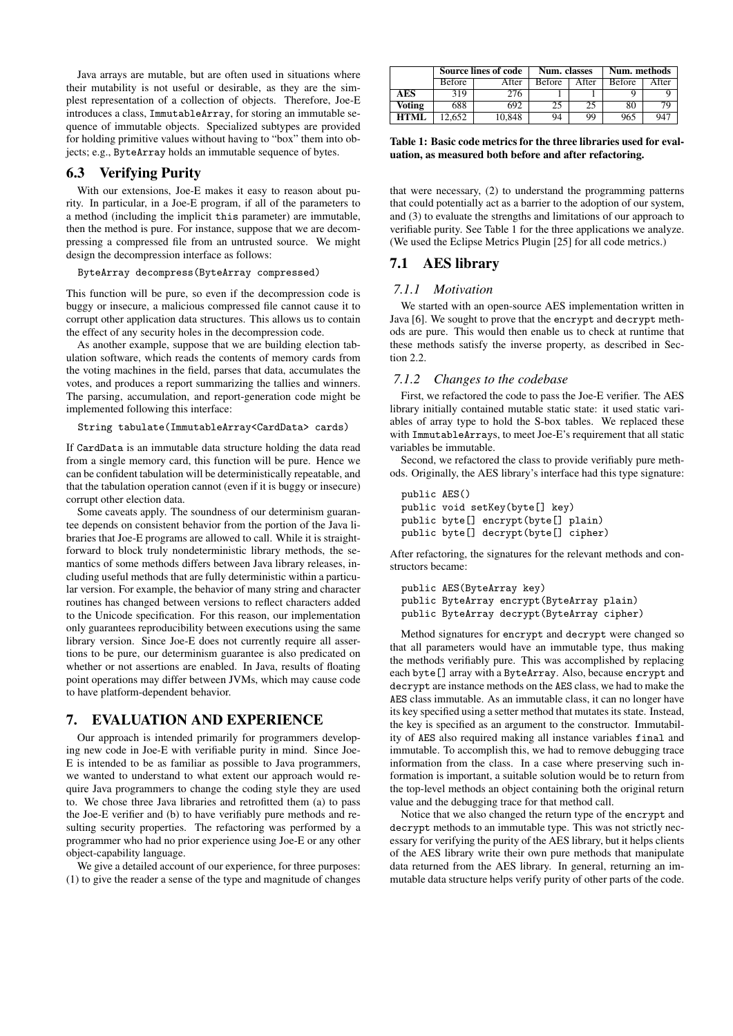Java arrays are mutable, but are often used in situations where their mutability is not useful or desirable, as they are the simplest representation of a collection of objects. Therefore, Joe-E introduces a class, ImmutableArray, for storing an immutable sequence of immutable objects. Specialized subtypes are provided for holding primitive values without having to "box" them into objects; e.g., ByteArray holds an immutable sequence of bytes.

## 6.3 Verifying Purity

With our extensions, Joe-E makes it easy to reason about purity. In particular, in a Joe-E program, if all of the parameters to a method (including the implicit this parameter) are immutable, then the method is pure. For instance, suppose that we are decompressing a compressed file from an untrusted source. We might design the decompression interface as follows:

```
ByteArray decompress(ByteArray compressed)
```
This function will be pure, so even if the decompression code is buggy or insecure, a malicious compressed file cannot cause it to corrupt other application data structures. This allows us to contain the effect of any security holes in the decompression code.

As another example, suppose that we are building election tabulation software, which reads the contents of memory cards from the voting machines in the field, parses that data, accumulates the votes, and produces a report summarizing the tallies and winners. The parsing, accumulation, and report-generation code might be implemented following this interface:

String tabulate(ImmutableArray<CardData> cards)

If CardData is an immutable data structure holding the data read from a single memory card, this function will be pure. Hence we can be confident tabulation will be deterministically repeatable, and that the tabulation operation cannot (even if it is buggy or insecure) corrupt other election data.

Some caveats apply. The soundness of our determinism guarantee depends on consistent behavior from the portion of the Java libraries that Joe-E programs are allowed to call. While it is straightforward to block truly nondeterministic library methods, the semantics of some methods differs between Java library releases, including useful methods that are fully deterministic within a particular version. For example, the behavior of many string and character routines has changed between versions to reflect characters added to the Unicode specification. For this reason, our implementation only guarantees reproducibility between executions using the same library version. Since Joe-E does not currently require all assertions to be pure, our determinism guarantee is also predicated on whether or not assertions are enabled. In Java, results of floating point operations may differ between JVMs, which may cause code to have platform-dependent behavior.

## 7. EVALUATION AND EXPERIENCE

Our approach is intended primarily for programmers developing new code in Joe-E with verifiable purity in mind. Since Joe-E is intended to be as familiar as possible to Java programmers, we wanted to understand to what extent our approach would require Java programmers to change the coding style they are used to. We chose three Java libraries and retrofitted them (a) to pass the Joe-E verifier and (b) to have verifiably pure methods and resulting security properties. The refactoring was performed by a programmer who had no prior experience using Joe-E or any other object-capability language.

We give a detailed account of our experience, for three purposes: (1) to give the reader a sense of the type and magnitude of changes

|               | <b>Source lines of code</b> |        | Num. classes  |       | Num. methods  |       |
|---------------|-----------------------------|--------|---------------|-------|---------------|-------|
|               | Before                      | After  | <b>Before</b> | After | <b>Before</b> | After |
| <b>AES</b>    | 319                         | 276    |               |       |               |       |
| <b>Voting</b> | 688                         | 692    |               |       | 80            |       |
| HTML          | 2.652                       | 10.848 | 94            | 99    | 965           | 947   |

Table 1: Basic code metrics for the three libraries used for evaluation, as measured both before and after refactoring.

that were necessary, (2) to understand the programming patterns that could potentially act as a barrier to the adoption of our system, and (3) to evaluate the strengths and limitations of our approach to verifiable purity. See Table 1 for the three applications we analyze. (We used the Eclipse Metrics Plugin [25] for all code metrics.)

# 7.1 AES library

## *7.1.1 Motivation*

We started with an open-source AES implementation written in Java [6]. We sought to prove that the encrypt and decrypt methods are pure. This would then enable us to check at runtime that these methods satisfy the inverse property, as described in Section 2.2.

## *7.1.2 Changes to the codebase*

First, we refactored the code to pass the Joe-E verifier. The AES library initially contained mutable static state: it used static variables of array type to hold the S-box tables. We replaced these with ImmutableArrays, to meet Joe-E's requirement that all static variables be immutable.

Second, we refactored the class to provide verifiably pure methods. Originally, the AES library's interface had this type signature:

```
public AES()
public void setKey(byte[] key)
public byte[] encrypt(byte[] plain)
public byte[] decrypt(byte[] cipher)
```
After refactoring, the signatures for the relevant methods and constructors became:

```
public AES(ByteArray key)
public ByteArray encrypt(ByteArray plain)
public ByteArray decrypt(ByteArray cipher)
```
Method signatures for encrypt and decrypt were changed so that all parameters would have an immutable type, thus making the methods verifiably pure. This was accomplished by replacing each byte<sup>[]</sup> array with a ByteArray. Also, because encrypt and decrypt are instance methods on the AES class, we had to make the AES class immutable. As an immutable class, it can no longer have its key specified using a setter method that mutates its state. Instead, the key is specified as an argument to the constructor. Immutability of AES also required making all instance variables final and immutable. To accomplish this, we had to remove debugging trace information from the class. In a case where preserving such information is important, a suitable solution would be to return from the top-level methods an object containing both the original return value and the debugging trace for that method call.

Notice that we also changed the return type of the encrypt and decrypt methods to an immutable type. This was not strictly necessary for verifying the purity of the AES library, but it helps clients of the AES library write their own pure methods that manipulate data returned from the AES library. In general, returning an immutable data structure helps verify purity of other parts of the code.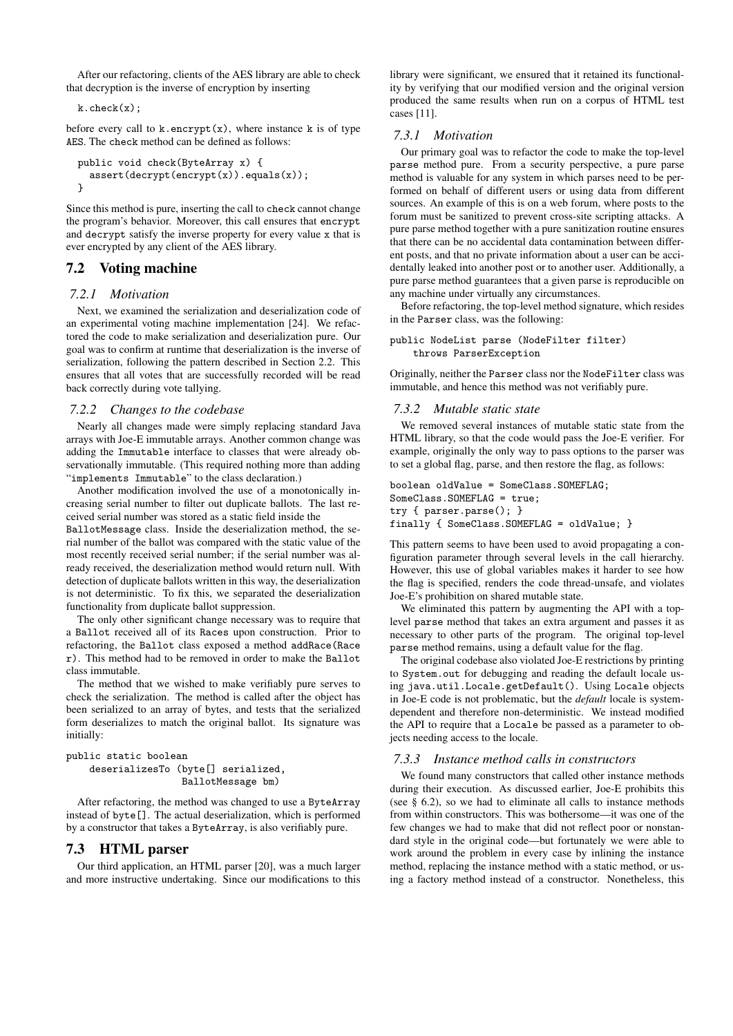After our refactoring, clients of the AES library are able to check that decryption is the inverse of encryption by inserting

 $k.$ chec $k(x)$ :

before every call to  $k$ . encrypt $(x)$ , where instance  $k$  is of type AES. The check method can be defined as follows:

```
public void check(ByteArray x) {
  assert(decrypt(encrypt(x)).equals(x));
}
```
Since this method is pure, inserting the call to check cannot change the program's behavior. Moreover, this call ensures that encrypt and decrypt satisfy the inverse property for every value x that is ever encrypted by any client of the AES library.

## 7.2 Voting machine

## *7.2.1 Motivation*

Next, we examined the serialization and deserialization code of an experimental voting machine implementation [24]. We refactored the code to make serialization and deserialization pure. Our goal was to confirm at runtime that deserialization is the inverse of serialization, following the pattern described in Section 2.2. This ensures that all votes that are successfully recorded will be read back correctly during vote tallying.

#### *7.2.2 Changes to the codebase*

Nearly all changes made were simply replacing standard Java arrays with Joe-E immutable arrays. Another common change was adding the Immutable interface to classes that were already observationally immutable. (This required nothing more than adding "implements Immutable" to the class declaration.)

Another modification involved the use of a monotonically increasing serial number to filter out duplicate ballots. The last received serial number was stored as a static field inside the

BallotMessage class. Inside the deserialization method, the serial number of the ballot was compared with the static value of the most recently received serial number; if the serial number was already received, the deserialization method would return null. With detection of duplicate ballots written in this way, the deserialization is not deterministic. To fix this, we separated the deserialization functionality from duplicate ballot suppression.

The only other significant change necessary was to require that a Ballot received all of its Races upon construction. Prior to refactoring, the Ballot class exposed a method addRace(Race r). This method had to be removed in order to make the Ballot class immutable.

The method that we wished to make verifiably pure serves to check the serialization. The method is called after the object has been serialized to an array of bytes, and tests that the serialized form deserializes to match the original ballot. Its signature was initially:

```
public static boolean
    deserializesTo (byte[] serialized,
                    BallotMessage bm)
```
After refactoring, the method was changed to use a ByteArray instead of byte[]. The actual deserialization, which is performed by a constructor that takes a ByteArray, is also verifiably pure.

## 7.3 HTML parser

Our third application, an HTML parser [20], was a much larger and more instructive undertaking. Since our modifications to this

library were significant, we ensured that it retained its functionality by verifying that our modified version and the original version produced the same results when run on a corpus of HTML test cases [11].

#### *7.3.1 Motivation*

Our primary goal was to refactor the code to make the top-level parse method pure. From a security perspective, a pure parse method is valuable for any system in which parses need to be performed on behalf of different users or using data from different sources. An example of this is on a web forum, where posts to the forum must be sanitized to prevent cross-site scripting attacks. A pure parse method together with a pure sanitization routine ensures that there can be no accidental data contamination between different posts, and that no private information about a user can be accidentally leaked into another post or to another user. Additionally, a pure parse method guarantees that a given parse is reproducible on any machine under virtually any circumstances.

Before refactoring, the top-level method signature, which resides in the Parser class, was the following:

#### public NodeList parse (NodeFilter filter) throws ParserException

Originally, neither the Parser class nor the NodeFilter class was immutable, and hence this method was not verifiably pure.

#### *7.3.2 Mutable static state*

We removed several instances of mutable static state from the HTML library, so that the code would pass the Joe-E verifier. For example, originally the only way to pass options to the parser was to set a global flag, parse, and then restore the flag, as follows:

```
boolean oldValue = SomeClass.SOMEFLAG;
SomeClass.SOMEFLAG = true;
try { parser.parse(); }
finally { SomeClass.SOMEFLAG = oldValue; }
```
This pattern seems to have been used to avoid propagating a configuration parameter through several levels in the call hierarchy. However, this use of global variables makes it harder to see how the flag is specified, renders the code thread-unsafe, and violates Joe-E's prohibition on shared mutable state.

We eliminated this pattern by augmenting the API with a toplevel parse method that takes an extra argument and passes it as necessary to other parts of the program. The original top-level parse method remains, using a default value for the flag.

The original codebase also violated Joe-E restrictions by printing to System.out for debugging and reading the default locale using java.util.Locale.getDefault(). Using Locale objects in Joe-E code is not problematic, but the *default* locale is systemdependent and therefore non-deterministic. We instead modified the API to require that a Locale be passed as a parameter to objects needing access to the locale.

#### *7.3.3 Instance method calls in constructors*

We found many constructors that called other instance methods during their execution. As discussed earlier, Joe-E prohibits this (see § 6.2), so we had to eliminate all calls to instance methods from within constructors. This was bothersome—it was one of the few changes we had to make that did not reflect poor or nonstandard style in the original code—but fortunately we were able to work around the problem in every case by inlining the instance method, replacing the instance method with a static method, or using a factory method instead of a constructor. Nonetheless, this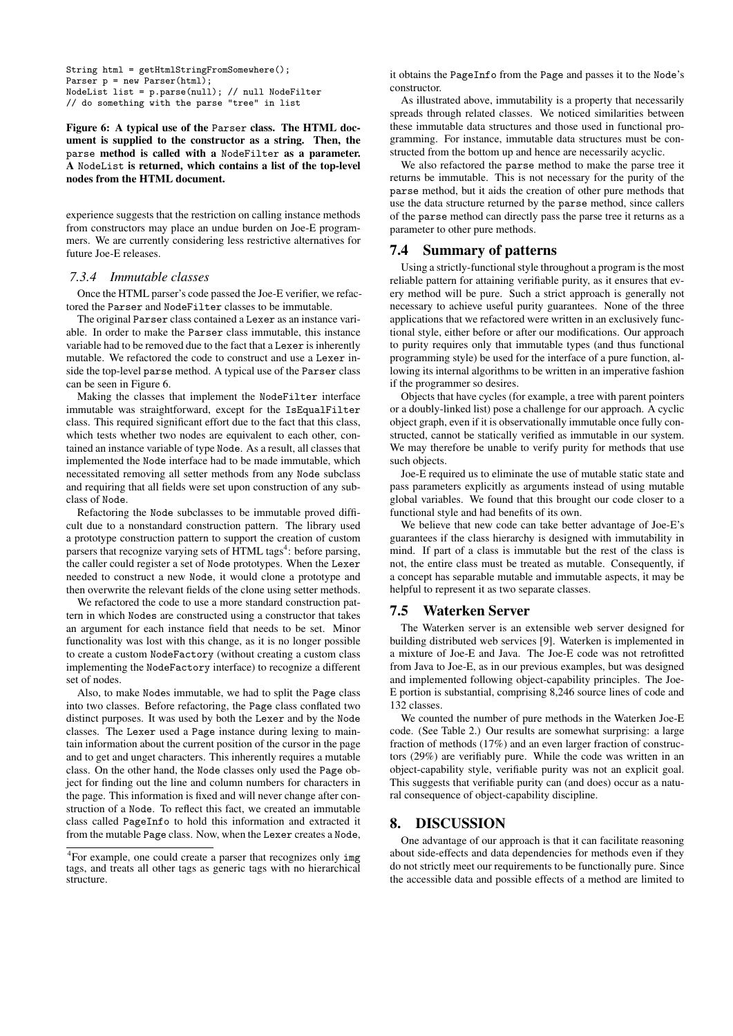String html = getHtmlStringFromSomewhere(); Parser  $p = new Parser(html);$ NodeList list = p.parse(null); // null NodeFilter // do something with the parse "tree" in list

Figure 6: A typical use of the Parser class. The HTML document is supplied to the constructor as a string. Then, the parse method is called with a NodeFilter as a parameter. A NodeList is returned, which contains a list of the top-level nodes from the HTML document.

experience suggests that the restriction on calling instance methods from constructors may place an undue burden on Joe-E programmers. We are currently considering less restrictive alternatives for future Joe-E releases.

#### *7.3.4 Immutable classes*

Once the HTML parser's code passed the Joe-E verifier, we refactored the Parser and NodeFilter classes to be immutable.

The original Parser class contained a Lexer as an instance variable. In order to make the Parser class immutable, this instance variable had to be removed due to the fact that a Lexer is inherently mutable. We refactored the code to construct and use a Lexer inside the top-level parse method. A typical use of the Parser class can be seen in Figure 6.

Making the classes that implement the NodeFilter interface immutable was straightforward, except for the IsEqualFilter class. This required significant effort due to the fact that this class, which tests whether two nodes are equivalent to each other, contained an instance variable of type Node. As a result, all classes that implemented the Node interface had to be made immutable, which necessitated removing all setter methods from any Node subclass and requiring that all fields were set upon construction of any subclass of Node.

Refactoring the Node subclasses to be immutable proved difficult due to a nonstandard construction pattern. The library used a prototype construction pattern to support the creation of custom parsers that recognize varying sets of HTML tags<sup>4</sup>: before parsing, the caller could register a set of Node prototypes. When the Lexer needed to construct a new Node, it would clone a prototype and then overwrite the relevant fields of the clone using setter methods.

We refactored the code to use a more standard construction pattern in which Nodes are constructed using a constructor that takes an argument for each instance field that needs to be set. Minor functionality was lost with this change, as it is no longer possible to create a custom NodeFactory (without creating a custom class implementing the NodeFactory interface) to recognize a different set of nodes.

Also, to make Nodes immutable, we had to split the Page class into two classes. Before refactoring, the Page class conflated two distinct purposes. It was used by both the Lexer and by the Node classes. The Lexer used a Page instance during lexing to maintain information about the current position of the cursor in the page and to get and unget characters. This inherently requires a mutable class. On the other hand, the Node classes only used the Page object for finding out the line and column numbers for characters in the page. This information is fixed and will never change after construction of a Node. To reflect this fact, we created an immutable class called PageInfo to hold this information and extracted it from the mutable Page class. Now, when the Lexer creates a Node, it obtains the PageInfo from the Page and passes it to the Node's constructor.

As illustrated above, immutability is a property that necessarily spreads through related classes. We noticed similarities between these immutable data structures and those used in functional programming. For instance, immutable data structures must be constructed from the bottom up and hence are necessarily acyclic.

We also refactored the parse method to make the parse tree it returns be immutable. This is not necessary for the purity of the parse method, but it aids the creation of other pure methods that use the data structure returned by the parse method, since callers of the parse method can directly pass the parse tree it returns as a parameter to other pure methods.

## 7.4 Summary of patterns

Using a strictly-functional style throughout a program is the most reliable pattern for attaining verifiable purity, as it ensures that every method will be pure. Such a strict approach is generally not necessary to achieve useful purity guarantees. None of the three applications that we refactored were written in an exclusively functional style, either before or after our modifications. Our approach to purity requires only that immutable types (and thus functional programming style) be used for the interface of a pure function, allowing its internal algorithms to be written in an imperative fashion if the programmer so desires.

Objects that have cycles (for example, a tree with parent pointers or a doubly-linked list) pose a challenge for our approach. A cyclic object graph, even if it is observationally immutable once fully constructed, cannot be statically verified as immutable in our system. We may therefore be unable to verify purity for methods that use such objects.

Joe-E required us to eliminate the use of mutable static state and pass parameters explicitly as arguments instead of using mutable global variables. We found that this brought our code closer to a functional style and had benefits of its own.

We believe that new code can take better advantage of Joe-E's guarantees if the class hierarchy is designed with immutability in mind. If part of a class is immutable but the rest of the class is not, the entire class must be treated as mutable. Consequently, if a concept has separable mutable and immutable aspects, it may be helpful to represent it as two separate classes.

## 7.5 Waterken Server

The Waterken server is an extensible web server designed for building distributed web services [9]. Waterken is implemented in a mixture of Joe-E and Java. The Joe-E code was not retrofitted from Java to Joe-E, as in our previous examples, but was designed and implemented following object-capability principles. The Joe-E portion is substantial, comprising 8,246 source lines of code and 132 classes.

We counted the number of pure methods in the Waterken Joe-E code. (See Table 2.) Our results are somewhat surprising: a large fraction of methods (17%) and an even larger fraction of constructors (29%) are verifiably pure. While the code was written in an object-capability style, verifiable purity was not an explicit goal. This suggests that verifiable purity can (and does) occur as a natural consequence of object-capability discipline.

#### 8. DISCUSSION

One advantage of our approach is that it can facilitate reasoning about side-effects and data dependencies for methods even if they do not strictly meet our requirements to be functionally pure. Since the accessible data and possible effects of a method are limited to

<sup>4</sup> For example, one could create a parser that recognizes only img tags, and treats all other tags as generic tags with no hierarchical structure.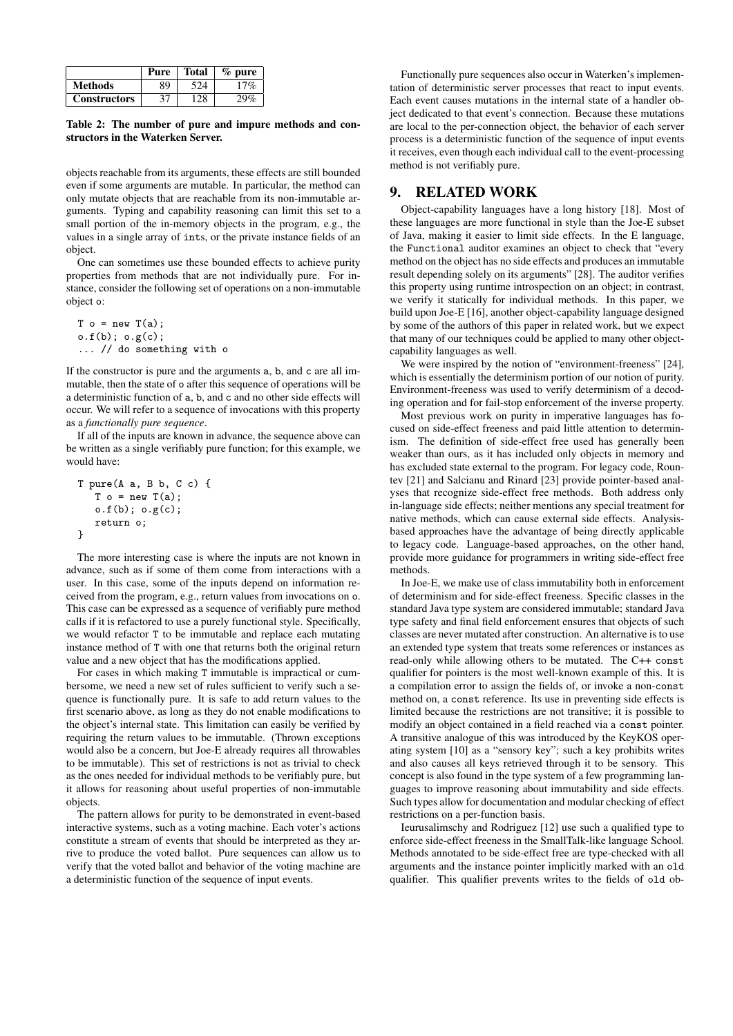|                     | Pure | <b>Total</b> | $\%$ pure |
|---------------------|------|--------------|-----------|
| Methods             | 89   | 524          | 17%       |
| <b>Constructors</b> | 37   | 128          | 29%       |

Table 2: The number of pure and impure methods and constructors in the Waterken Server.

objects reachable from its arguments, these effects are still bounded even if some arguments are mutable. In particular, the method can only mutate objects that are reachable from its non-immutable arguments. Typing and capability reasoning can limit this set to a small portion of the in-memory objects in the program, e.g., the values in a single array of ints, or the private instance fields of an object.

One can sometimes use these bounded effects to achieve purity properties from methods that are not individually pure. For instance, consider the following set of operations on a non-immutable object o:

```
T o = new T(a);o.f(b); o.g(c);
... // do something with o
```
If the constructor is pure and the arguments a, b, and c are all immutable, then the state of o after this sequence of operations will be a deterministic function of a, b, and c and no other side effects will occur. We will refer to a sequence of invocations with this property as a *functionally pure sequence*.

If all of the inputs are known in advance, the sequence above can be written as a single verifiably pure function; for this example, we would have:

```
T pure(A a, B b, C c) {
   T o = new T(a);o.f(b); o.g(c);return o;
}
```
The more interesting case is where the inputs are not known in advance, such as if some of them come from interactions with a user. In this case, some of the inputs depend on information received from the program, e.g., return values from invocations on o. This case can be expressed as a sequence of verifiably pure method calls if it is refactored to use a purely functional style. Specifically, we would refactor T to be immutable and replace each mutating instance method of T with one that returns both the original return value and a new object that has the modifications applied.

For cases in which making T immutable is impractical or cumbersome, we need a new set of rules sufficient to verify such a sequence is functionally pure. It is safe to add return values to the first scenario above, as long as they do not enable modifications to the object's internal state. This limitation can easily be verified by requiring the return values to be immutable. (Thrown exceptions would also be a concern, but Joe-E already requires all throwables to be immutable). This set of restrictions is not as trivial to check as the ones needed for individual methods to be verifiably pure, but it allows for reasoning about useful properties of non-immutable objects.

The pattern allows for purity to be demonstrated in event-based interactive systems, such as a voting machine. Each voter's actions constitute a stream of events that should be interpreted as they arrive to produce the voted ballot. Pure sequences can allow us to verify that the voted ballot and behavior of the voting machine are a deterministic function of the sequence of input events.

Functionally pure sequences also occur in Waterken's implementation of deterministic server processes that react to input events. Each event causes mutations in the internal state of a handler object dedicated to that event's connection. Because these mutations are local to the per-connection object, the behavior of each server process is a deterministic function of the sequence of input events it receives, even though each individual call to the event-processing method is not verifiably pure.

## 9. RELATED WORK

Object-capability languages have a long history [18]. Most of these languages are more functional in style than the Joe-E subset of Java, making it easier to limit side effects. In the E language, the Functional auditor examines an object to check that "every method on the object has no side effects and produces an immutable result depending solely on its arguments" [28]. The auditor verifies this property using runtime introspection on an object; in contrast, we verify it statically for individual methods. In this paper, we build upon Joe-E [16], another object-capability language designed by some of the authors of this paper in related work, but we expect that many of our techniques could be applied to many other objectcapability languages as well.

We were inspired by the notion of "environment-freeness" [24], which is essentially the determinism portion of our notion of purity. Environment-freeness was used to verify determinism of a decoding operation and for fail-stop enforcement of the inverse property.

Most previous work on purity in imperative languages has focused on side-effect freeness and paid little attention to determinism. The definition of side-effect free used has generally been weaker than ours, as it has included only objects in memory and has excluded state external to the program. For legacy code, Rountev [21] and Salcianu and Rinard [23] provide pointer-based analyses that recognize side-effect free methods. Both address only in-language side effects; neither mentions any special treatment for native methods, which can cause external side effects. Analysisbased approaches have the advantage of being directly applicable to legacy code. Language-based approaches, on the other hand, provide more guidance for programmers in writing side-effect free methods.

In Joe-E, we make use of class immutability both in enforcement of determinism and for side-effect freeness. Specific classes in the standard Java type system are considered immutable; standard Java type safety and final field enforcement ensures that objects of such classes are never mutated after construction. An alternative is to use an extended type system that treats some references or instances as read-only while allowing others to be mutated. The C++ const qualifier for pointers is the most well-known example of this. It is a compilation error to assign the fields of, or invoke a non-const method on, a const reference. Its use in preventing side effects is limited because the restrictions are not transitive; it is possible to modify an object contained in a field reached via a const pointer. A transitive analogue of this was introduced by the KeyKOS operating system [10] as a "sensory key"; such a key prohibits writes and also causes all keys retrieved through it to be sensory. This concept is also found in the type system of a few programming languages to improve reasoning about immutability and side effects. Such types allow for documentation and modular checking of effect restrictions on a per-function basis.

Ieurusalimschy and Rodriguez [12] use such a qualified type to enforce side-effect freeness in the SmallTalk-like language School. Methods annotated to be side-effect free are type-checked with all arguments and the instance pointer implicitly marked with an old qualifier. This qualifier prevents writes to the fields of old ob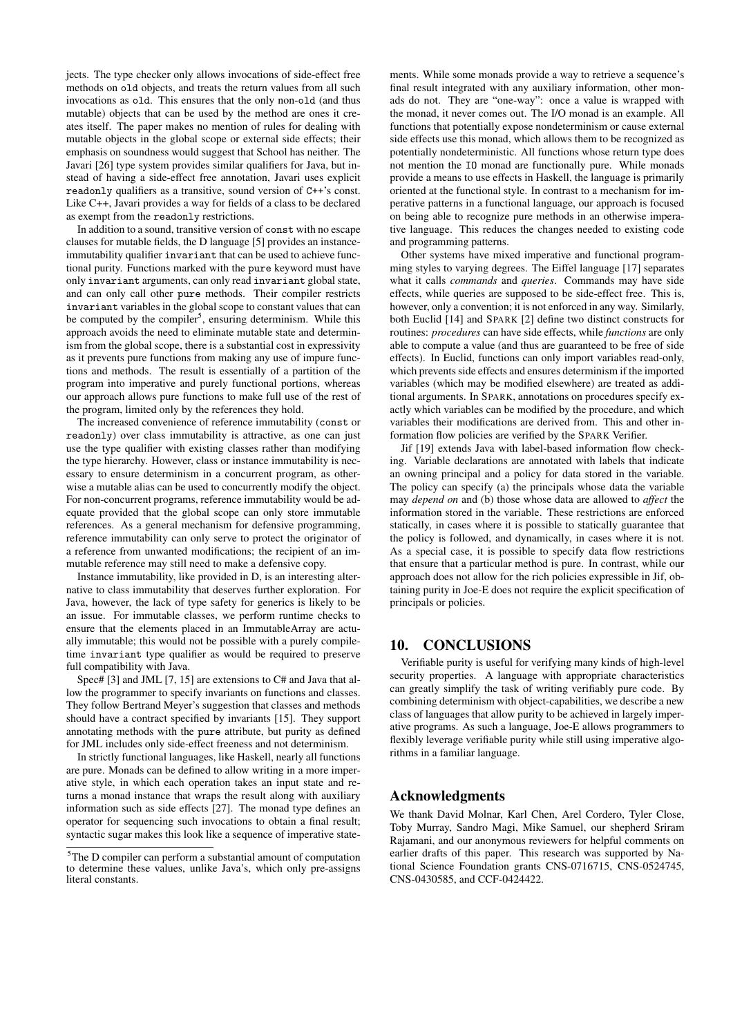jects. The type checker only allows invocations of side-effect free methods on old objects, and treats the return values from all such invocations as old. This ensures that the only non-old (and thus mutable) objects that can be used by the method are ones it creates itself. The paper makes no mention of rules for dealing with mutable objects in the global scope or external side effects; their emphasis on soundness would suggest that School has neither. The Javari [26] type system provides similar qualifiers for Java, but instead of having a side-effect free annotation, Javari uses explicit readonly qualifiers as a transitive, sound version of C++'s const. Like C++, Javari provides a way for fields of a class to be declared as exempt from the readonly restrictions.

In addition to a sound, transitive version of const with no escape clauses for mutable fields, the D language [5] provides an instanceimmutability qualifier invariant that can be used to achieve functional purity. Functions marked with the pure keyword must have only invariant arguments, can only read invariant global state, and can only call other pure methods. Their compiler restricts invariant variables in the global scope to constant values that can be computed by the compiler<sup>5</sup>, ensuring determinism. While this approach avoids the need to eliminate mutable state and determinism from the global scope, there is a substantial cost in expressivity as it prevents pure functions from making any use of impure functions and methods. The result is essentially of a partition of the program into imperative and purely functional portions, whereas our approach allows pure functions to make full use of the rest of the program, limited only by the references they hold.

The increased convenience of reference immutability (const or readonly) over class immutability is attractive, as one can just use the type qualifier with existing classes rather than modifying the type hierarchy. However, class or instance immutability is necessary to ensure determinism in a concurrent program, as otherwise a mutable alias can be used to concurrently modify the object. For non-concurrent programs, reference immutability would be adequate provided that the global scope can only store immutable references. As a general mechanism for defensive programming, reference immutability can only serve to protect the originator of a reference from unwanted modifications; the recipient of an immutable reference may still need to make a defensive copy.

Instance immutability, like provided in D, is an interesting alternative to class immutability that deserves further exploration. For Java, however, the lack of type safety for generics is likely to be an issue. For immutable classes, we perform runtime checks to ensure that the elements placed in an ImmutableArray are actually immutable; this would not be possible with a purely compiletime invariant type qualifier as would be required to preserve full compatibility with Java.

Spec# [3] and JML [7, 15] are extensions to C# and Java that allow the programmer to specify invariants on functions and classes. They follow Bertrand Meyer's suggestion that classes and methods should have a contract specified by invariants [15]. They support annotating methods with the pure attribute, but purity as defined for JML includes only side-effect freeness and not determinism.

In strictly functional languages, like Haskell, nearly all functions are pure. Monads can be defined to allow writing in a more imperative style, in which each operation takes an input state and returns a monad instance that wraps the result along with auxiliary information such as side effects [27]. The monad type defines an operator for sequencing such invocations to obtain a final result; syntactic sugar makes this look like a sequence of imperative state-

ments. While some monads provide a way to retrieve a sequence's final result integrated with any auxiliary information, other monads do not. They are "one-way": once a value is wrapped with the monad, it never comes out. The I/O monad is an example. All functions that potentially expose nondeterminism or cause external side effects use this monad, which allows them to be recognized as potentially nondeterministic. All functions whose return type does not mention the IO monad are functionally pure. While monads provide a means to use effects in Haskell, the language is primarily oriented at the functional style. In contrast to a mechanism for imperative patterns in a functional language, our approach is focused on being able to recognize pure methods in an otherwise imperative language. This reduces the changes needed to existing code and programming patterns.

Other systems have mixed imperative and functional programming styles to varying degrees. The Eiffel language [17] separates what it calls *commands* and *queries*. Commands may have side effects, while queries are supposed to be side-effect free. This is, however, only a convention; it is not enforced in any way. Similarly, both Euclid [14] and SPARK [2] define two distinct constructs for routines: *procedures* can have side effects, while *functions* are only able to compute a value (and thus are guaranteed to be free of side effects). In Euclid, functions can only import variables read-only, which prevents side effects and ensures determinism if the imported variables (which may be modified elsewhere) are treated as additional arguments. In SPARK, annotations on procedures specify exactly which variables can be modified by the procedure, and which variables their modifications are derived from. This and other information flow policies are verified by the SPARK Verifier.

Jif [19] extends Java with label-based information flow checking. Variable declarations are annotated with labels that indicate an owning principal and a policy for data stored in the variable. The policy can specify (a) the principals whose data the variable may *depend on* and (b) those whose data are allowed to *affect* the information stored in the variable. These restrictions are enforced statically, in cases where it is possible to statically guarantee that the policy is followed, and dynamically, in cases where it is not. As a special case, it is possible to specify data flow restrictions that ensure that a particular method is pure. In contrast, while our approach does not allow for the rich policies expressible in Jif, obtaining purity in Joe-E does not require the explicit specification of principals or policies.

## 10. CONCLUSIONS

Verifiable purity is useful for verifying many kinds of high-level security properties. A language with appropriate characteristics can greatly simplify the task of writing verifiably pure code. By combining determinism with object-capabilities, we describe a new class of languages that allow purity to be achieved in largely imperative programs. As such a language, Joe-E allows programmers to flexibly leverage verifiable purity while still using imperative algorithms in a familiar language.

## Acknowledgments

We thank David Molnar, Karl Chen, Arel Cordero, Tyler Close, Toby Murray, Sandro Magi, Mike Samuel, our shepherd Sriram Rajamani, and our anonymous reviewers for helpful comments on earlier drafts of this paper. This research was supported by National Science Foundation grants CNS-0716715, CNS-0524745, CNS-0430585, and CCF-0424422.

<sup>5</sup>The D compiler can perform a substantial amount of computation to determine these values, unlike Java's, which only pre-assigns literal constants.